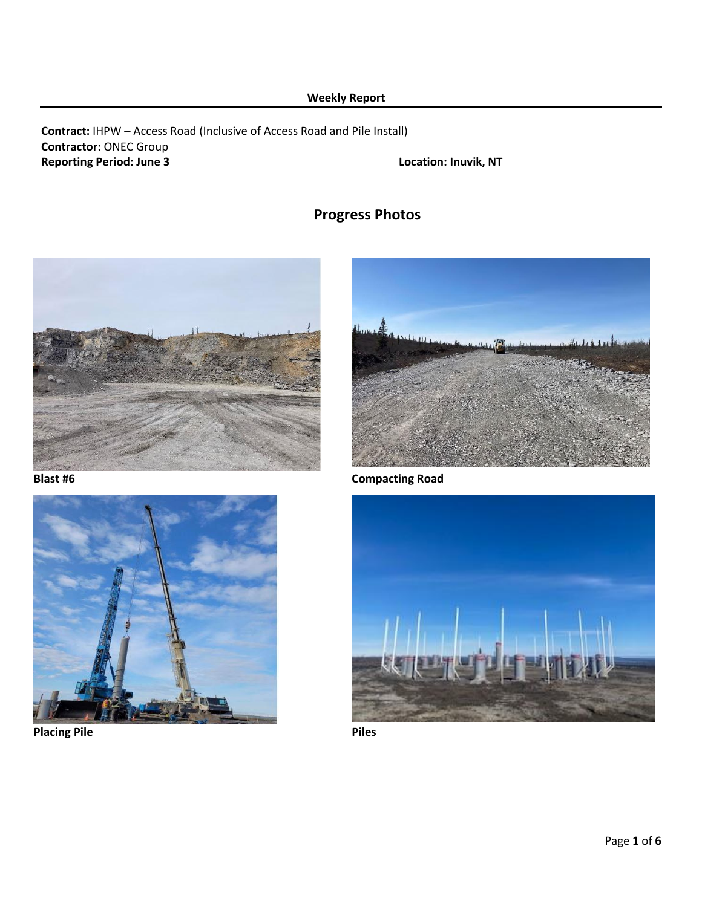# **Weekly Report**

## **Contract:** IHPW – Access Road (Inclusive of Access Road and Pile Install) **Contractor:** ONEC Group **Reporting Period: June 3 Location: Inuvik, NT**

# **Progress Photos**





**Placing Pile Placing Piles** 



**Blast #6 Compacting Road**

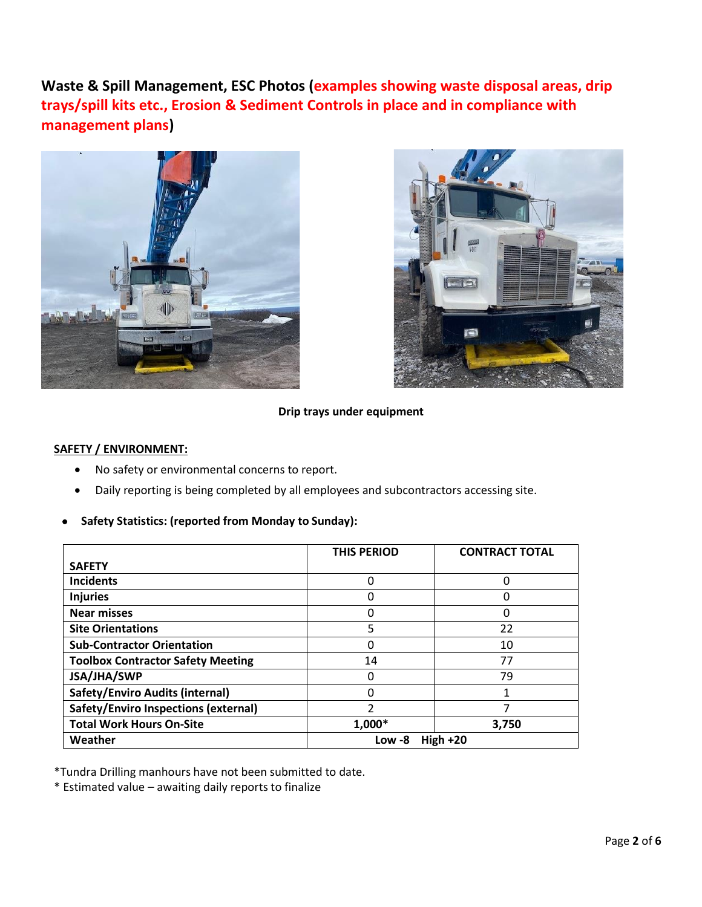**Waste & Spill Management, ESC Photos (examples showing waste disposal areas, drip trays/spill kits etc., Erosion & Sediment Controls in place and in compliance with management plans)**





#### **Drip trays under equipment**

#### **SAFETY / ENVIRONMENT:**

- No safety or environmental concerns to report.
- Daily reporting is being completed by all employees and subcontractors accessing site.
- **Safety Statistics: (reported from Monday to Sunday):**

|                                          | <b>THIS PERIOD</b>   | <b>CONTRACT TOTAL</b> |  |  |
|------------------------------------------|----------------------|-----------------------|--|--|
| <b>SAFETY</b>                            |                      |                       |  |  |
| <b>Incidents</b>                         | 0                    | ი                     |  |  |
| <b>Injuries</b>                          | 0                    | 0                     |  |  |
| <b>Near misses</b>                       | 0                    | ი                     |  |  |
| <b>Site Orientations</b>                 | 5                    | 22                    |  |  |
| <b>Sub-Contractor Orientation</b>        | 0                    | 10                    |  |  |
| <b>Toolbox Contractor Safety Meeting</b> | 14                   | 77                    |  |  |
| JSA/JHA/SWP                              | 0                    | 79                    |  |  |
| <b>Safety/Enviro Audits (internal)</b>   | 0                    |                       |  |  |
| Safety/Enviro Inspections (external)     | 2                    |                       |  |  |
| <b>Total Work Hours On-Site</b>          | 1,000*               | 3,750                 |  |  |
| Weather                                  | High $+20$<br>Low -8 |                       |  |  |

\*Tundra Drilling manhours have not been submitted to date.

\* Estimated value – awaiting daily reports to finalize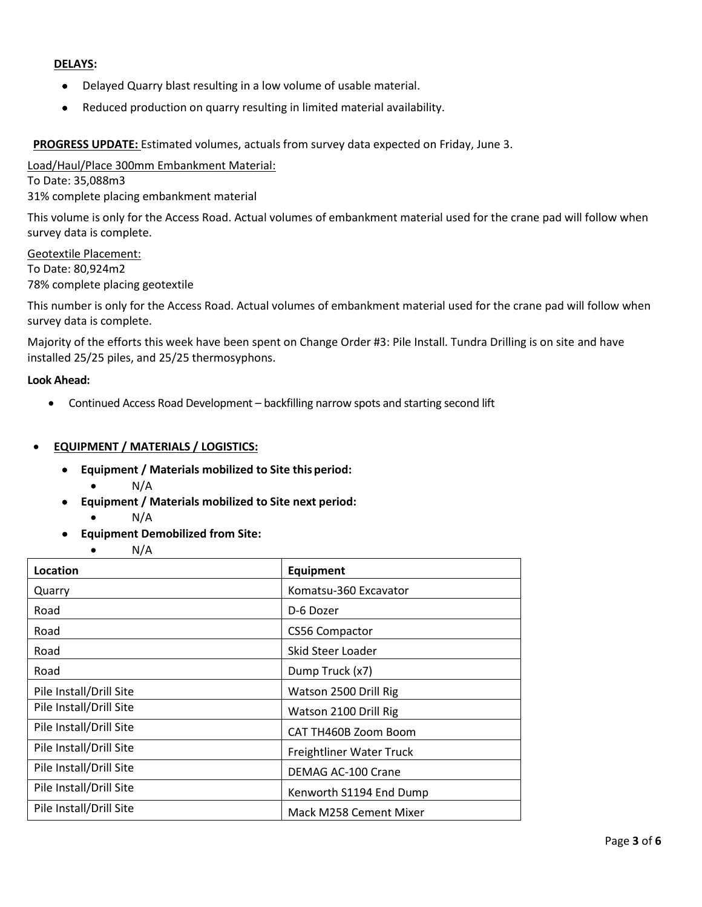#### **DELAYS:**

- Delayed Quarry blast resulting in a low volume of usable material.
- Reduced production on quarry resulting in limited material availability.

**PROGRESS UPDATE:** Estimated volumes, actuals from survey data expected on Friday, June 3.

Load/Haul/Place 300mm Embankment Material:

To Date: 35,088m3

31% complete placing embankment material

This volume is only for the Access Road. Actual volumes of embankment material used for the crane pad will follow when survey data is complete.

Geotextile Placement: To Date: 80,924m2 78% complete placing geotextile

This number is only for the Access Road. Actual volumes of embankment material used for the crane pad will follow when survey data is complete.

Majority of the efforts this week have been spent on Change Order #3: Pile Install. Tundra Drilling is on site and have installed 25/25 piles, and 25/25 thermosyphons.

#### **Look Ahead:**

• Continued Access Road Development – backfilling narrow spots and starting second lift

#### • **EQUIPMENT / MATERIALS / LOGISTICS:**

- **Equipment / Materials mobilized to Site this period:**
	- $\bullet$  N/A
- **Equipment / Materials mobilized to Site next period:**
	- $\bullet$  N/A
- **Equipment Demobilized from Site:**
	- $\bullet$  N/A

| Location                | Equipment                |
|-------------------------|--------------------------|
| Quarry                  | Komatsu-360 Excavator    |
| Road                    | D-6 Dozer                |
| Road                    | CS56 Compactor           |
| Road                    | Skid Steer Loader        |
| Road                    | Dump Truck (x7)          |
| Pile Install/Drill Site | Watson 2500 Drill Rig    |
| Pile Install/Drill Site | Watson 2100 Drill Rig    |
| Pile Install/Drill Site | CAT TH460B Zoom Boom     |
| Pile Install/Drill Site | Freightliner Water Truck |
| Pile Install/Drill Site | DEMAG AC-100 Crane       |
| Pile Install/Drill Site | Kenworth S1194 End Dump  |
| Pile Install/Drill Site | Mack M258 Cement Mixer   |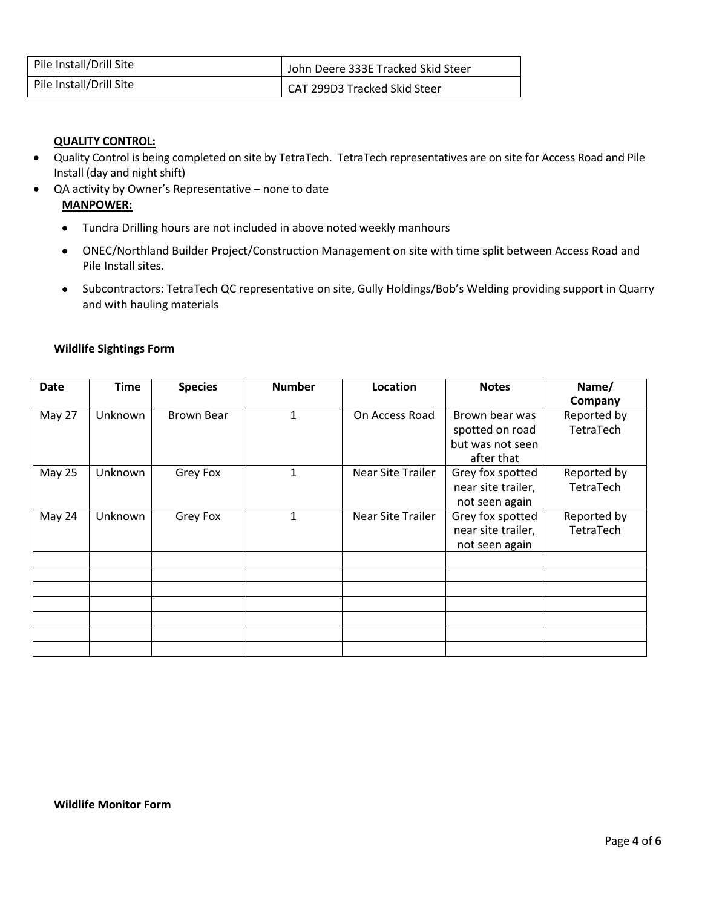| Pile Install/Drill Site | John Deere 333E Tracked Skid Steer |
|-------------------------|------------------------------------|
| Pile Install/Drill Site | CAT 299D3 Tracked Skid Steer       |

### **QUALITY CONTROL:**

- Quality Control is being completed on site by TetraTech. TetraTech representatives are on site for Access Road and Pile Install (day and night shift)
- QA activity by Owner's Representative none to date

#### **MANPOWER:**

- Tundra Drilling hours are not included in above noted weekly manhours
- ONEC/Northland Builder Project/Construction Management on site with time split between Access Road and Pile Install sites.
- Subcontractors: TetraTech QC representative on site, Gully Holdings/Bob's Welding providing support in Quarry and with hauling materials

| <b>Date</b> | <b>Time</b> | <b>Species</b>    | <b>Number</b> | Location                 | <b>Notes</b>       | Name/       |
|-------------|-------------|-------------------|---------------|--------------------------|--------------------|-------------|
|             |             |                   |               |                          |                    | Company     |
| May 27      | Unknown     | <b>Brown Bear</b> | 1             | On Access Road           | Brown bear was     | Reported by |
|             |             |                   |               |                          | spotted on road    | TetraTech   |
|             |             |                   |               |                          | but was not seen   |             |
|             |             |                   |               |                          | after that         |             |
| May 25      | Unknown     | Grey Fox          | 1             | <b>Near Site Trailer</b> | Grey fox spotted   | Reported by |
|             |             |                   |               |                          | near site trailer, | TetraTech   |
|             |             |                   |               |                          | not seen again     |             |
| May 24      | Unknown     | Grey Fox          | $\mathbf{1}$  | <b>Near Site Trailer</b> | Grey fox spotted   | Reported by |
|             |             |                   |               |                          | near site trailer, | TetraTech   |
|             |             |                   |               |                          | not seen again     |             |
|             |             |                   |               |                          |                    |             |
|             |             |                   |               |                          |                    |             |
|             |             |                   |               |                          |                    |             |
|             |             |                   |               |                          |                    |             |
|             |             |                   |               |                          |                    |             |
|             |             |                   |               |                          |                    |             |
|             |             |                   |               |                          |                    |             |

#### **Wildlife Sightings Form**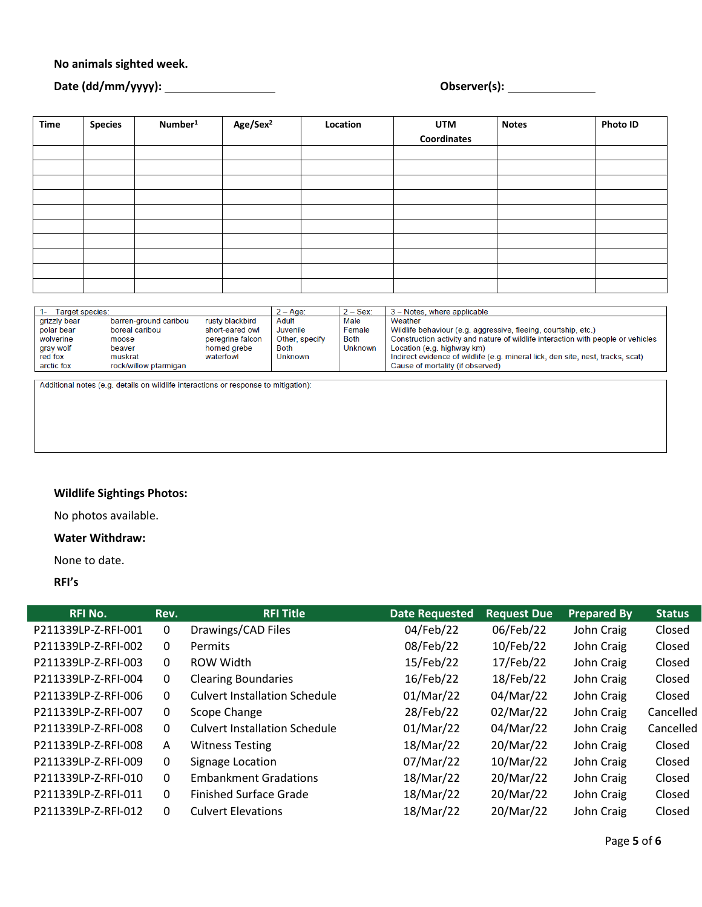### **No animals sighted week.**

# **Date (dd/mm/yyyy): Observer(s):**

| Time | <b>Species</b> | Number <sup>1</sup> | Age/Sex <sup>2</sup> | Location | <b>UTM</b>  | <b>Notes</b> | <b>Photo ID</b> |
|------|----------------|---------------------|----------------------|----------|-------------|--------------|-----------------|
|      |                |                     |                      |          | Coordinates |              |                 |
|      |                |                     |                      |          |             |              |                 |
|      |                |                     |                      |          |             |              |                 |
|      |                |                     |                      |          |             |              |                 |
|      |                |                     |                      |          |             |              |                 |
|      |                |                     |                      |          |             |              |                 |
|      |                |                     |                      |          |             |              |                 |
|      |                |                     |                      |          |             |              |                 |
|      |                |                     |                      |          |             |              |                 |
|      |                |                     |                      |          |             |              |                 |
|      |                |                     |                      |          |             |              |                 |

| Target species: |                       |                  | $2 - Age$      | $2 - \text{Sex:}$ | 3 - Notes, where applicable                                                      |  |
|-----------------|-----------------------|------------------|----------------|-------------------|----------------------------------------------------------------------------------|--|
| grizzly bear    | barren-ground caribou | rusty blackbird  | Adult          | Male              | Weather                                                                          |  |
| polar bear      | boreal caribou        | short-eared owl  | Juvenile       | Female            | Wildlife behaviour (e.g. aggressive, fleeing, courtship, etc.)                   |  |
| wolverine       | moose                 | peregrine falcon | Other, specify | Both              | Construction activity and nature of wildlife interaction with people or vehicles |  |
| gray wolf       | beaver                | horned grebe     | Both           | Unknown           | Location (e.g. highway km)                                                       |  |
| red fox         | muskrat               | waterfowl        | <b>Unknown</b> |                   | Indirect evidence of wildlife (e.g. mineral lick, den site, nest, tracks, scat)  |  |
| arctic fox      | rock/willow ptarmigan |                  |                |                   | Cause of mortality (if observed)                                                 |  |

Additional notes (e.g. details on wildlife interactions or response to mitigation):

# **Wildlife Sightings Photos:**

No photos available.

#### **Water Withdraw:**

None to date.

**RFI's**

| <b>RFI No.</b>      | Rev.         | <b>RFI Title</b>                     | <b>Date Requested</b> | <b>Request Due</b> | <b>Prepared By</b> | <b>Status</b> |
|---------------------|--------------|--------------------------------------|-----------------------|--------------------|--------------------|---------------|
| P211339LP-Z-RFI-001 | 0            | Drawings/CAD Files                   | 04/Feb/22             | 06/Feb/22          | John Craig         | Closed        |
| P211339LP-Z-RFI-002 | 0            | <b>Permits</b>                       | 08/Feb/22             | 10/Feb/22          | John Craig         | Closed        |
| P211339LP-Z-RFI-003 | 0            | ROW Width                            | 15/Feb/22             | 17/Feb/22          | John Craig         | Closed        |
| P211339LP-Z-RFI-004 | 0            | <b>Clearing Boundaries</b>           | 16/Feb/22             | 18/Feb/22          | John Craig         | Closed        |
| P211339LP-Z-RFI-006 | 0            | <b>Culvert Installation Schedule</b> | 01/Mar/22             | 04/Mar/22          | John Craig         | Closed        |
| P211339LP-Z-RFI-007 | 0            | Scope Change                         | 28/Feb/22             | 02/Mar/22          | John Craig         | Cancelled     |
| P211339LP-Z-RFI-008 | $\mathbf{0}$ | <b>Culvert Installation Schedule</b> | 01/Mar/22             | 04/Mar/22          | John Craig         | Cancelled     |
| P211339LP-Z-RFI-008 | $\mathsf{A}$ | <b>Witness Testing</b>               | 18/Mar/22             | 20/Mar/22          | John Craig         | Closed        |
| P211339LP-Z-RFI-009 | 0            | Signage Location                     | 07/Mar/22             | 10/Mar/22          | John Craig         | Closed        |
| P211339LP-Z-RFI-010 | $\Omega$     | <b>Embankment Gradations</b>         | 18/Mar/22             | 20/Mar/22          | John Craig         | Closed        |
| P211339LP-Z-RFI-011 | 0            | <b>Finished Surface Grade</b>        | 18/Mar/22             | 20/Mar/22          | John Craig         | Closed        |
| P211339LP-Z-RFI-012 | 0            | <b>Culvert Elevations</b>            | 18/Mar/22             | 20/Mar/22          | John Craig         | Closed        |